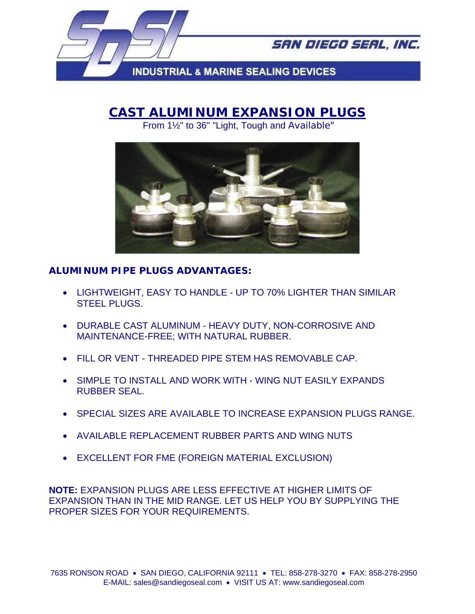

SAN DIEGO SEAL, INC.

**INDUSTRIAL & MARINE SEALING DEVICES** 

## **CAST ALUMINUM EXPANSION PLUGS**

From 1½" to 36" "Light, Tough and Available"



## **ALUMINUM PIPE PLUGS ADVANTAGES:**

- LIGHTWEIGHT, EASY TO HANDLE UP TO 70% LIGHTER THAN SIMILAR STEEL PLUGS.
- DURABLE CAST ALUMINUM HEAVY DUTY, NON-CORROSIVE AND MAINTENANCE-FREE; WITH NATURAL RUBBER.
- FILL OR VENT THREADED PIPE STEM HAS REMOVABLE CAP.
- SIMPLE TO INSTALL AND WORK WITH WING NUT EASILY EXPANDS RUBBER SEAL.
- SPECIAL SIZES ARE AVAILABLE TO INCREASE EXPANSION PLUGS RANGE.
- AVAILABLE REPLACEMENT RUBBER PARTS AND WING NUTS
- EXCELLENT FOR FME (FOREIGN MATERIAL EXCLUSION)

**NOTE:** EXPANSION PLUGS ARE LESS EFFECTIVE AT HIGHER LIMITS OF EXPANSION THAN IN THE MID RANGE. LET US HELP YOU BY SUPPLYING THE PROPER SIZES FOR YOUR REQUIREMENTS.